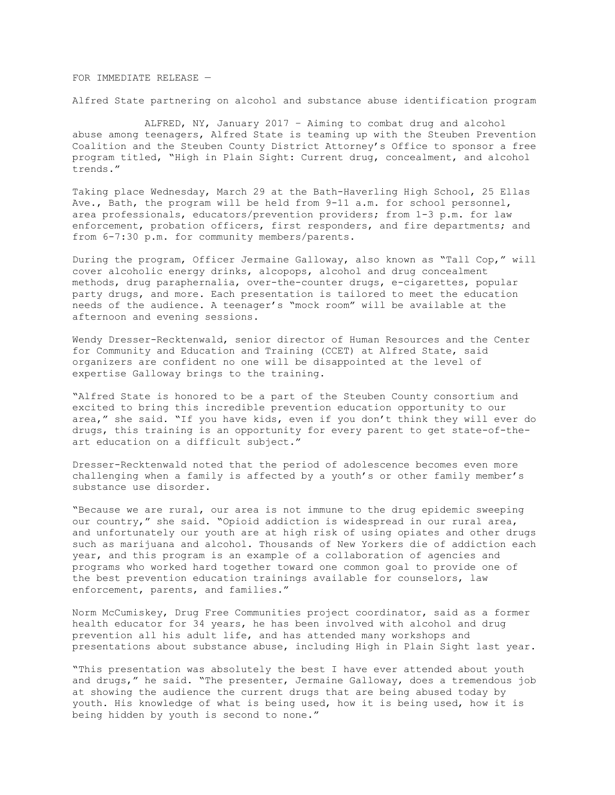FOR IMMEDIATE RELEASE —

Alfred State partnering on alcohol and substance abuse identification program

 ALFRED, NY, January 2017 – Aiming to combat drug and alcohol abuse among teenagers, Alfred State is teaming up with the Steuben Prevention Coalition and the Steuben County District Attorney's Office to sponsor a free program titled, "High in Plain Sight: Current drug, concealment, and alcohol trends."

Taking place Wednesday, March 29 at the Bath-Haverling High School, 25 Ellas Ave., Bath, the program will be held from 9-11 a.m. for school personnel, area professionals, educators/prevention providers; from 1-3 p.m. for law enforcement, probation officers, first responders, and fire departments; and from 6-7:30 p.m. for community members/parents.

During the program, Officer Jermaine Galloway, also known as "Tall Cop," will cover alcoholic energy drinks, alcopops, alcohol and drug concealment methods, drug paraphernalia, over-the-counter drugs, e-cigarettes, popular party drugs, and more. Each presentation is tailored to meet the education needs of the audience. A teenager's "mock room" will be available at the afternoon and evening sessions.

Wendy Dresser-Recktenwald, senior director of Human Resources and the Center for Community and Education and Training (CCET) at Alfred State, said organizers are confident no one will be disappointed at the level of expertise Galloway brings to the training.

"Alfred State is honored to be a part of the Steuben County consortium and excited to bring this incredible prevention education opportunity to our area," she said. "If you have kids, even if you don't think they will ever do drugs, this training is an opportunity for every parent to get state-of-theart education on a difficult subject."

Dresser-Recktenwald noted that the period of adolescence becomes even more challenging when a family is affected by a youth's or other family member's substance use disorder.

"Because we are rural, our area is not immune to the drug epidemic sweeping our country," she said. "Opioid addiction is widespread in our rural area, and unfortunately our youth are at high risk of using opiates and other drugs such as marijuana and alcohol. Thousands of New Yorkers die of addiction each year, and this program is an example of a collaboration of agencies and programs who worked hard together toward one common goal to provide one of the best prevention education trainings available for counselors, law enforcement, parents, and families."

Norm McCumiskey, Drug Free Communities project coordinator, said as a former health educator for 34 years, he has been involved with alcohol and drug prevention all his adult life, and has attended many workshops and presentations about substance abuse, including High in Plain Sight last year.

"This presentation was absolutely the best I have ever attended about youth and drugs," he said. "The presenter, Jermaine Galloway, does a tremendous job at showing the audience the current drugs that are being abused today by youth. His knowledge of what is being used, how it is being used, how it is being hidden by youth is second to none."